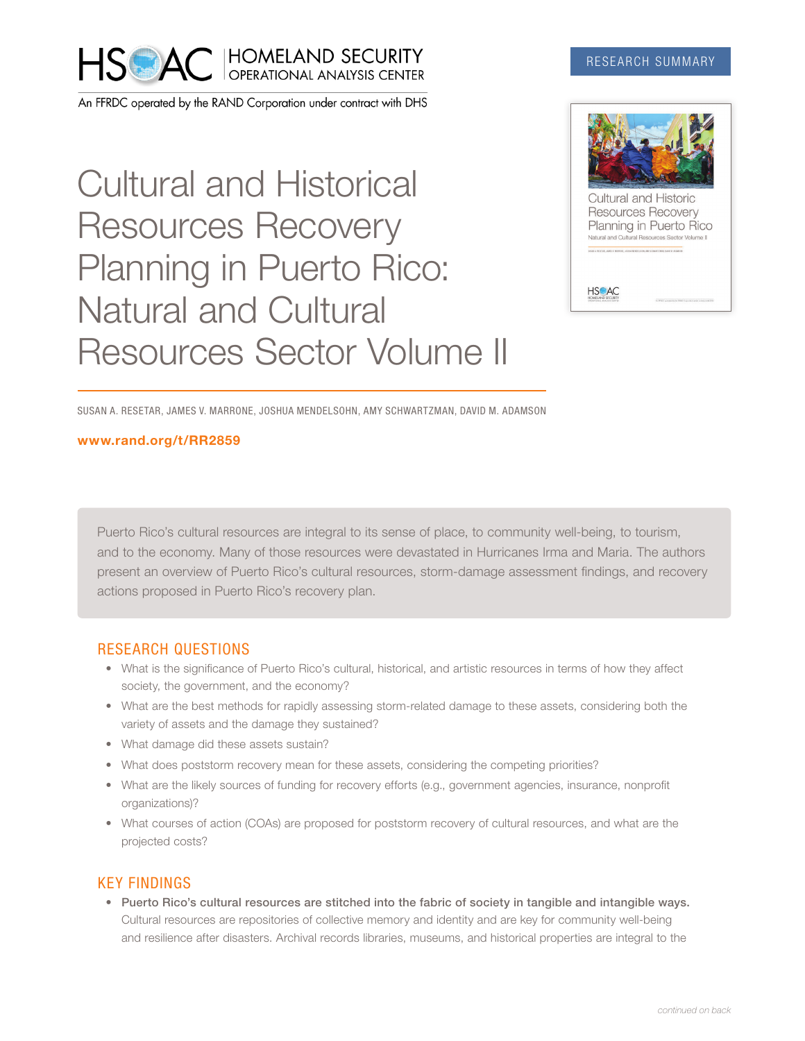

An FFRDC operated by the RAND Corporation under contract with DHS

# Cultural and Historical Resources Recovery Planning in Puerto Rico: Natural and Cultural Resources Sector Volume II

### RESEARCH SUMMARY



SUSAN A. RESETAR, JAMES V. MARRONE, JOSHUA MENDELSOHN, AMY SCHWARTZMAN, DAVID M. ADAMSON

#### [www.rand.org/t/RR2859](http://www.rand.org/t/RR2859)

Puerto Rico's cultural resources are integral to its sense of place, to community well-being, to tourism, and to the economy. Many of those resources were devastated in Hurricanes Irma and Maria. The authors present an overview of Puerto Rico's cultural resources, storm-damage assessment findings, and recovery actions proposed in Puerto Rico's recovery plan.

#### RESEARCH QUESTIONS

- What is the significance of Puerto Rico's cultural, historical, and artistic resources in terms of how they affect society, the government, and the economy?
- What are the best methods for rapidly assessing storm-related damage to these assets, considering both the variety of assets and the damage they sustained?
- What damage did these assets sustain?
- What does poststorm recovery mean for these assets, considering the competing priorities?
- What are the likely sources of funding for recovery efforts (e.g., government agencies, insurance, nonprofit organizations)?
- What courses of action (COAs) are proposed for poststorm recovery of cultural resources, and what are the projected costs?

## KEY FINDINGS

• Puerto Rico's cultural resources are stitched into the fabric of society in tangible and intangible ways. Cultural resources are repositories of collective memory and identity and are key for community well-being and resilience after disasters. Archival records libraries, museums, and historical properties are integral to the